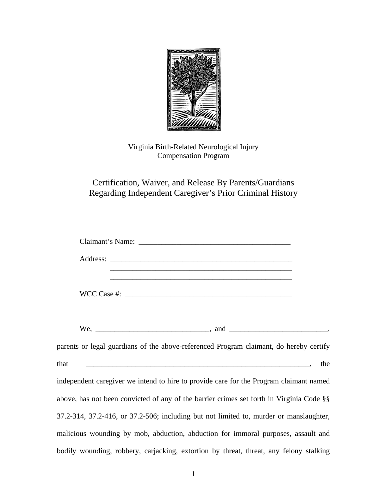

Virginia Birth-Related Neurological Injury Compensation Program

## Certification, Waiver, and Release By Parents/Guardians Regarding Independent Caregiver's Prior Criminal History

| <u> 1999 - 1999 - 1999 - 1999 - 1999 - 1999 - 1999 - 1999 - 1999 - 1999 - 1999 - 1999 - 1999 - 1999 - 1999 - 19</u>                            |  |
|------------------------------------------------------------------------------------------------------------------------------------------------|--|
| <u> 2000 - Andrea Andrea Andrea Andrea Andrea Andrea Andrea Andrea Andrea Andrea Andrea Andrea Andrea Andrea And</u><br>WCC Case $\#$ : $\_\_$ |  |
|                                                                                                                                                |  |
| parents or legal guardians of the above-referenced Program claimant, do hereby certify                                                         |  |
| that<br>the                                                                                                                                    |  |
| independent caregiver we intend to hire to provide care for the Program claimant named                                                         |  |
| above, has not been convicted of any of the barrier crimes set forth in Virginia Code §§                                                       |  |
| 37.2-314, 37.2-416, or 37.2-506; including but not limited to, murder or manslaughter,                                                         |  |
| malicious wounding by mob, abduction, abduction for immoral purposes, assault and                                                              |  |
| bodily wounding, robbery, carjacking, extortion by threat, threat, any felony stalking                                                         |  |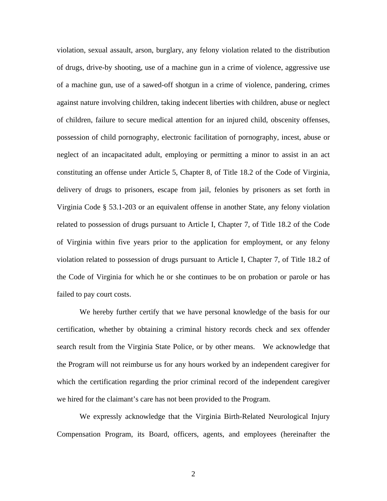violation, sexual assault, arson, burglary, any felony violation related to the distribution of drugs, drive-by shooting, use of a machine gun in a crime of violence, aggressive use of a machine gun, use of a sawed-off shotgun in a crime of violence, pandering, crimes against nature involving children, taking indecent liberties with children, abuse or neglect of children, failure to secure medical attention for an injured child, obscenity offenses, possession of child pornography, electronic facilitation of pornography, incest, abuse or neglect of an incapacitated adult, employing or permitting a minor to assist in an act constituting an offense under Article 5, Chapter 8, of Title 18.2 of the Code of Virginia, delivery of drugs to prisoners, escape from jail, felonies by prisoners as set forth in Virginia Code § 53.1-203 or an equivalent offense in another State, any felony violation related to possession of drugs pursuant to Article I, Chapter 7, of Title 18.2 of the Code of Virginia within five years prior to the application for employment, or any felony violation related to possession of drugs pursuant to Article I, Chapter 7, of Title 18.2 of the Code of Virginia for which he or she continues to be on probation or parole or has failed to pay court costs.

We hereby further certify that we have personal knowledge of the basis for our certification, whether by obtaining a criminal history records check and sex offender search result from the Virginia State Police, or by other means. We acknowledge that the Program will not reimburse us for any hours worked by an independent caregiver for which the certification regarding the prior criminal record of the independent caregiver we hired for the claimant's care has not been provided to the Program.

We expressly acknowledge that the Virginia Birth-Related Neurological Injury Compensation Program, its Board, officers, agents, and employees (hereinafter the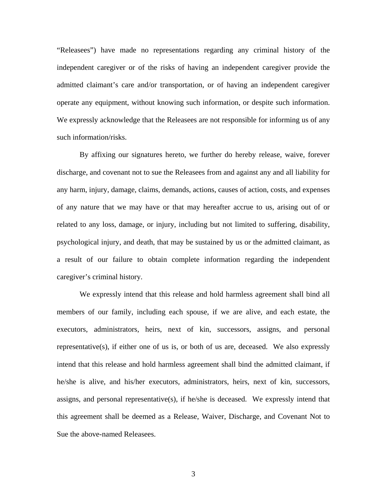"Releasees") have made no representations regarding any criminal history of the independent caregiver or of the risks of having an independent caregiver provide the admitted claimant's care and/or transportation, or of having an independent caregiver operate any equipment, without knowing such information, or despite such information. We expressly acknowledge that the Releasees are not responsible for informing us of any such information/risks.

By affixing our signatures hereto, we further do hereby release, waive, forever discharge, and covenant not to sue the Releasees from and against any and all liability for any harm, injury, damage, claims, demands, actions, causes of action, costs, and expenses of any nature that we may have or that may hereafter accrue to us, arising out of or related to any loss, damage, or injury, including but not limited to suffering, disability, psychological injury, and death, that may be sustained by us or the admitted claimant, as a result of our failure to obtain complete information regarding the independent caregiver's criminal history.

 We expressly intend that this release and hold harmless agreement shall bind all members of our family, including each spouse, if we are alive, and each estate, the executors, administrators, heirs, next of kin, successors, assigns, and personal representative(s), if either one of us is, or both of us are, deceased. We also expressly intend that this release and hold harmless agreement shall bind the admitted claimant, if he/she is alive, and his/her executors, administrators, heirs, next of kin, successors, assigns, and personal representative(s), if he/she is deceased. We expressly intend that this agreement shall be deemed as a Release, Waiver, Discharge, and Covenant Not to Sue the above-named Releasees.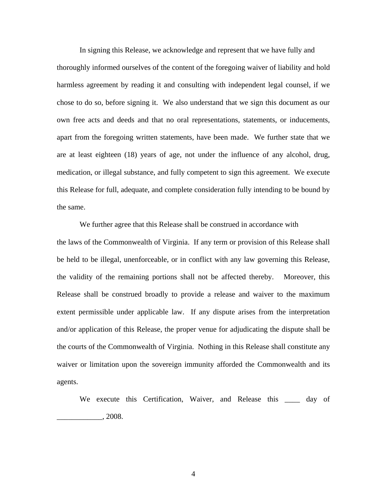In signing this Release, we acknowledge and represent that we have fully and thoroughly informed ourselves of the content of the foregoing waiver of liability and hold harmless agreement by reading it and consulting with independent legal counsel, if we chose to do so, before signing it. We also understand that we sign this document as our own free acts and deeds and that no oral representations, statements, or inducements, apart from the foregoing written statements, have been made. We further state that we are at least eighteen (18) years of age, not under the influence of any alcohol, drug, medication, or illegal substance, and fully competent to sign this agreement. We execute this Release for full, adequate, and complete consideration fully intending to be bound by the same.

 We further agree that this Release shall be construed in accordance with the laws of the Commonwealth of Virginia. If any term or provision of this Release shall be held to be illegal, unenforceable, or in conflict with any law governing this Release, the validity of the remaining portions shall not be affected thereby. Moreover, this Release shall be construed broadly to provide a release and waiver to the maximum extent permissible under applicable law. If any dispute arises from the interpretation and/or application of this Release, the proper venue for adjudicating the dispute shall be the courts of the Commonwealth of Virginia. Nothing in this Release shall constitute any waiver or limitation upon the sovereign immunity afforded the Commonwealth and its agents.

We execute this Certification, Waiver, and Release this \_\_\_\_ day of  $, 2008.$ 

4